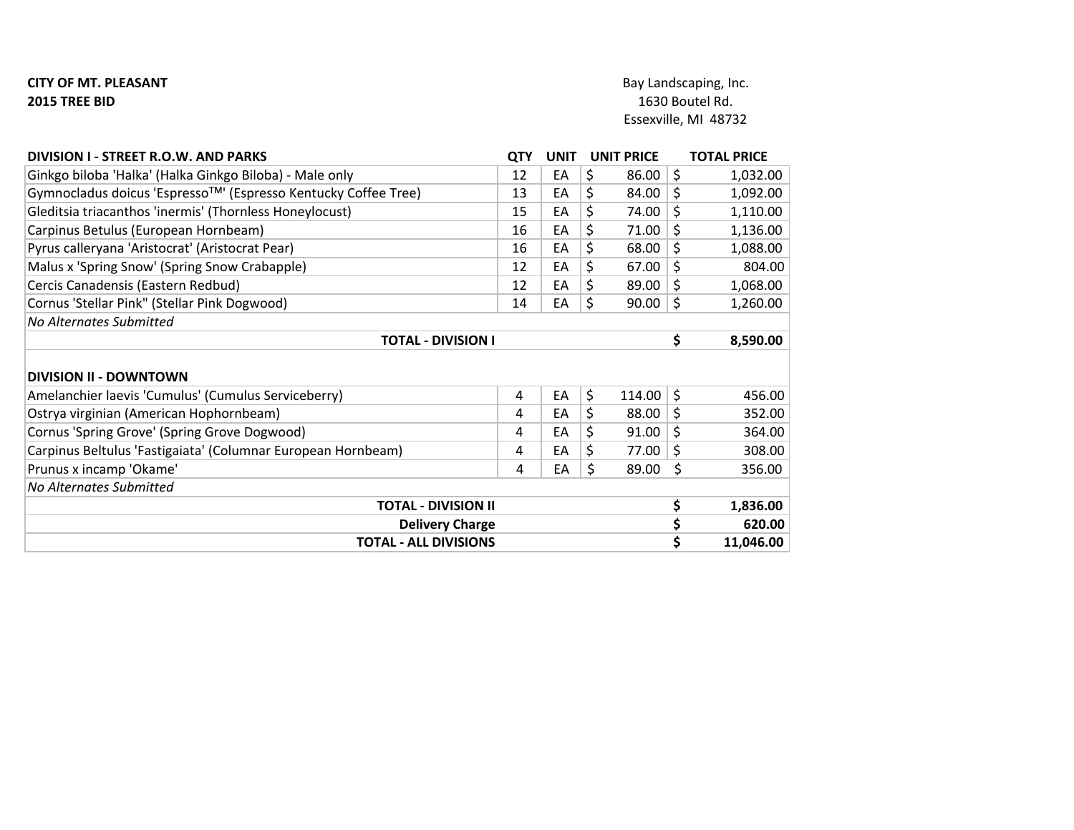## CITY OF MT. PLEASANT 2015 TREE BID

| DIVISION I - STREET R.O.W. AND PARKS                           | <b>QTY</b> | <b>UNIT</b><br><b>UNIT PRICE</b> |              |         | <b>TOTAL PRICE</b> |  |
|----------------------------------------------------------------|------------|----------------------------------|--------------|---------|--------------------|--|
| Ginkgo biloba 'Halka' (Halka Ginkgo Biloba) - Male only        | 12         | EA                               | \$<br>86.00  | \$      | 1,032.00           |  |
| Gymnocladus doicus 'Espresso™' (Espresso Kentucky Coffee Tree) | 13         | EA                               | \$<br>84.00  | \$      | 1,092.00           |  |
| Gleditsia triacanthos 'inermis' (Thornless Honeylocust)        | 15         | EA                               | \$<br>74.00  | \$      | 1,110.00           |  |
| Carpinus Betulus (European Hornbeam)                           | 16         | EA                               | \$<br>71.00  | \$      | 1,136.00           |  |
| Pyrus calleryana 'Aristocrat' (Aristocrat Pear)                | 16         | EA                               | \$<br>68.00  | \$      | 1,088.00           |  |
| Malus x 'Spring Snow' (Spring Snow Crabapple)                  | 12         | EA                               | \$<br>67.00  | \$      | 804.00             |  |
| Cercis Canadensis (Eastern Redbud)                             | 12         | EA                               | \$<br>89.00  | \$      | 1,068.00           |  |
| Cornus 'Stellar Pink" (Stellar Pink Dogwood)                   | 14         | EA                               | \$<br>90.00  | $\zeta$ | 1,260.00           |  |
| <b>No Alternates Submitted</b>                                 |            |                                  |              |         |                    |  |
| <b>TOTAL - DIVISION I</b>                                      | \$         | 8,590.00                         |              |         |                    |  |
| <b>DIVISION II - DOWNTOWN</b>                                  |            |                                  |              |         |                    |  |
| Amelanchier laevis 'Cumulus' (Cumulus Serviceberry)            | 4          | EA                               | \$<br>114.00 | \$      | 456.00             |  |
| Ostrya virginian (American Hophornbeam)                        | 4          | EA                               | \$<br>88.00  | \$      | 352.00             |  |
| Cornus 'Spring Grove' (Spring Grove Dogwood)                   | 4          | EA                               | \$<br>91.00  | \$      | 364.00             |  |
| Carpinus Beltulus 'Fastigaiata' (Columnar European Hornbeam)   | 4          | EA                               | \$<br>77.00  | \$      | 308.00             |  |
| Prunus x incamp 'Okame'                                        | 4          | EA                               | \$<br>89.00  | \$      | 356.00             |  |
| <b>No Alternates Submitted</b>                                 |            |                                  |              |         |                    |  |
| <b>TOTAL - DIVISION II</b>                                     | \$         | 1,836.00                         |              |         |                    |  |
| <b>Delivery Charge</b>                                         | \$         | 620.00                           |              |         |                    |  |
| <b>TOTAL - ALL DIVISIONS</b>                                   | \$         | 11,046.00                        |              |         |                    |  |